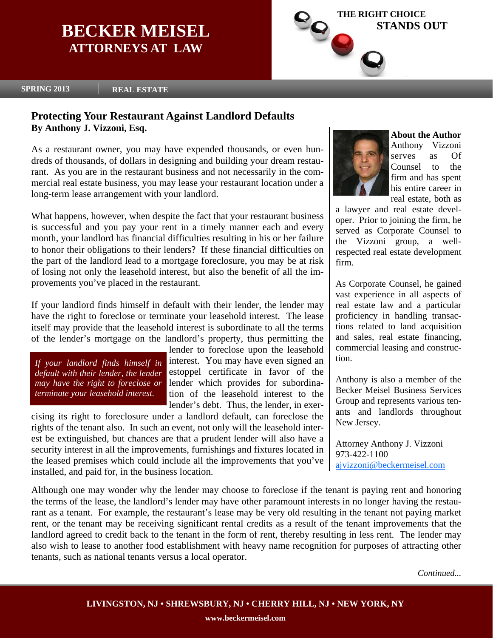## **BECKER MEISEL ATTORNEYS AT LAW**



**SPRING 2013 REAL ESTATE** 

### **Protecting Your Restaurant Against Landlord Defaults By Anthony J. Vizzoni, Esq.**

As a restaurant owner, you may have expended thousands, or even hundreds of thousands, of dollars in designing and building your dream restaurant. As you are in the restaurant business and not necessarily in the commercial real estate business, you may lease your restaurant location under a long-term lease arrangement with your landlord.

What happens, however, when despite the fact that your restaurant business is successful and you pay your rent in a timely manner each and every month, your landlord has financial difficulties resulting in his or her failure to honor their obligations to their lenders? If these financial difficulties on the part of the landlord lead to a mortgage foreclosure, you may be at risk of losing not only the leasehold interest, but also the benefit of all the improvements you've placed in the restaurant.

If your landlord finds himself in default with their lender, the lender may have the right to foreclose or terminate your leasehold interest. The lease itself may provide that the leasehold interest is subordinate to all the terms of the lender's mortgage on the landlord's property, thus permitting the

*If your landlord finds himself in default with their lender, the lender may have the right to foreclose or terminate your leasehold interest.* 

lender to foreclose upon the leasehold interest. You may have even signed an estoppel certificate in favor of the lender which provides for subordination of the leasehold interest to the lender's debt. Thus, the lender, in exer-

cising its right to foreclosure under a landlord default, can foreclose the rights of the tenant also. In such an event, not only will the leasehold interest be extinguished, but chances are that a prudent lender will also have a security interest in all the improvements, furnishings and fixtures located in the leased premises which could include all the improvements that you've installed, and paid for, in the business location.



**About the Author**  Anthony Vizzoni serves as Of Counsel to the firm and has spent his entire career in real estate, both as

a lawyer and real estate developer. Prior to joining the firm, he served as Corporate Counsel to the Vizzoni group, a wellrespected real estate development firm.

As Corporate Counsel, he gained vast experience in all aspects of real estate law and a particular proficiency in handling transactions related to land acquisition and sales, real estate financing, commercial leasing and construction.

Anthony is also a member of the Becker Meisel Business Services Group and represents various tenants and landlords throughout New Jersey.

Attorney Anthony J. Vizzoni 973-422-1100 ajvizzoni@beckermeisel.com

Although one may wonder why the lender may choose to foreclose if the tenant is paying rent and honoring the terms of the lease, the landlord's lender may have other paramount interests in no longer having the restaurant as a tenant. For example, the restaurant's lease may be very old resulting in the tenant not paying market rent, or the tenant may be receiving significant rental credits as a result of the tenant improvements that the landlord agreed to credit back to the tenant in the form of rent, thereby resulting in less rent. The lender may also wish to lease to another food establishment with heavy name recognition for purposes of attracting other tenants, such as national tenants versus a local operator.

*Continued...*